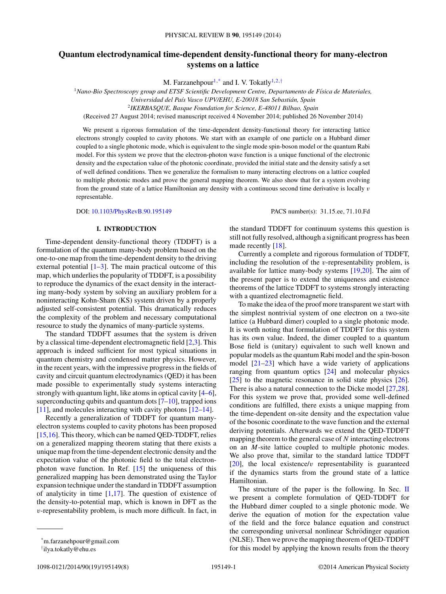# **Quantum electrodynamical time-dependent density-functional theory for many-electron systems on a lattice**

M. Farzanehpour<sup>1,\*</sup> and I. V. Tokatly<sup>1,2,†</sup>

<sup>1</sup>*Nano-Bio Spectroscopy group and ETSF Scientific Development Centre, Departamento de F´ısica de Materiales,*

*Universidad del Pa´ıs Vasco UPV/EHU, E-20018 San Sebastian, Spain ´*

<sup>2</sup>*IKERBASQUE, Basque Foundation for Science, E-48011 Bilbao, Spain*

(Received 27 August 2014; revised manuscript received 4 November 2014; published 26 November 2014)

We present a rigorous formulation of the time-dependent density-functional theory for interacting lattice electrons strongly coupled to cavity photons. We start with an example of one particle on a Hubbard dimer coupled to a single photonic mode, which is equivalent to the single mode spin-boson model or the quantum Rabi model. For this system we prove that the electron-photon wave function is a unique functional of the electronic density and the expectation value of the photonic coordinate, provided the initial state and the density satisfy a set of well defined conditions. Then we generalize the formalism to many interacting electrons on a lattice coupled to multiple photonic modes and prove the general mapping theorem. We also show that for a system evolving from the ground state of a lattice Hamiltonian any density with a continuous second time derivative is locally *v* representable.

made recently [\[18\]](#page-7-0).

DOI: [10.1103/PhysRevB.90.195149](http://dx.doi.org/10.1103/PhysRevB.90.195149) PACS number(s): 31*.*15*.*ee*,* 71*.*10*.*Fd

the standard TDDFT for continuum systems this question is still not fully resolved, although a significant progress has been

Currently a complete and rigorous formulation of TDDFT, including the resolution of the *v*-representability problem, is available for lattice many-body systems [\[19,20\]](#page-7-0). The aim of

#### **I. INTRODUCTION**

Time-dependent density-functional theory (TDDFT) is a formulation of the quantum many-body problem based on the one-to-one map from the time-dependent density to the driving external potential  $[1-3]$ . The main practical outcome of this map, which underlies the popularity of TDDFT, is a possibility to reproduce the dynamics of the exact density in the interacting many-body system by solving an auxiliary problem for a noninteracting Kohn-Sham (KS) system driven by a properly adjusted self-consistent potential. This dramatically reduces the complexity of the problem and necessary computational resource to study the dynamics of many-particle systems.

The standard TDDFT assumes that the system is driven by a classical time-dependent electromagnetic field [\[2,3\]](#page-7-0). This approach is indeed sufficient for most typical situations in quantum chemistry and condensed matter physics. However, in the recent years, with the impressive progress in the fields of cavity and circuit quantum electrodynamics (QED) it has been made possible to experimentally study systems interacting strongly with quantum light, like atoms in optical cavity [\[4–6\]](#page-7-0), superconducting qubits and quantum dots  $[7-10]$ , trapped ions [\[11\]](#page-7-0), and molecules interacting with cavity photons [\[12–14\]](#page-7-0).

Recently a generalization of TDDFT for quantum manyelectron systems coupled to cavity photons has been proposed [\[15,16\]](#page-7-0). This theory, which can be named QED-TDDFT, relies on a generalized mapping theorem stating that there exists a unique map from the time-dependent electronic density and the expectation value of the photonic field to the total electronphoton wave function. In Ref. [\[15\]](#page-7-0) the uniqueness of this generalized mapping has been demonstrated using the Taylor expansion technique under the standard in TDDFT assumption of analyticity in time  $[1,17]$ . The question of existence of the density-to-potential map, which is known in DFT as the *v*-representability problem, is much more difficult. In fact, in

1098-0121/2014/90(19)/195149(8) 195149-1 ©2014 American Physical Society

the present paper is to extend the uniqueness and existence theorems of the lattice TDDFT to systems strongly interacting with a quantized electromagnetic field. To make the idea of the proof more transparent we start with the simplest nontrivial system of one electron on a two-site lattice (a Hubbard dimer) coupled to a single photonic mode. It is worth noting that formulation of TDDFT for this system has its own value. Indeed, the dimer coupled to a quantum Bose field is (unitary) equivalent to such well known and popular models as the quantum Rabi model and the spin-boson model [\[21–23\]](#page-7-0) which have a wide variety of applications ranging from quantum optics [\[24\]](#page-7-0) and molecular physics [\[25\]](#page-7-0) to the magnetic resonance in solid state physics [\[26\]](#page-7-0). There is also a natural connection to the Dicke model [\[27,28\]](#page-7-0). For this system we prove that, provided some well-defined conditions are fulfilled, there exists a unique mapping from the time-dependent on-site density and the expectation value of the bosonic coordinate to the wave function and the external

deriving potentials. Afterwards we extend the QED-TDDFT mapping theorem to the general case of *N* interacting electrons on an *M*-site lattice coupled to multiple photonic modes. We also prove that, similar to the standard lattice TDDFT [\[20\]](#page-7-0), the local existence/*v* representability is guaranteed if the dynamics starts from the ground state of a lattice Hamiltonian.

The structure of the paper is the following. In Sec. [II](#page-1-0) we present a complete formulation of QED-TDDFT for the Hubbard dimer coupled to a single photonic mode. We derive the equation of motion for the expectation value of the field and the force balance equation and construct the corresponding universal nonlinear Schrödinger equation (NLSE). Then we prove the mapping theorem of QED-TDDFT for this model by applying the known results from the theory

<sup>\*</sup>m.farzanehpour@gmail.com

<sup>†</sup> ilya.tokatly@ehu.es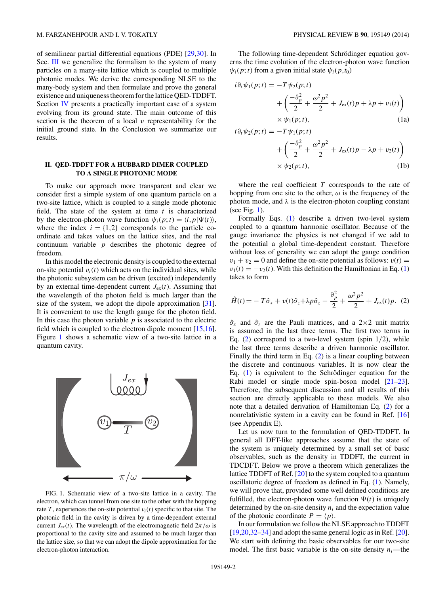<span id="page-1-0"></span>of semilinear partial differential equations (PDE) [\[29,30\]](#page-7-0). In Sec. [III](#page-4-0) we generalize the formalism to the system of many particles on a many-site lattice which is coupled to multiple photonic modes. We derive the corresponding NLSE to the many-body system and then formulate and prove the general existence and uniqueness theorem for the lattice QED-TDDFT. Section [IV](#page-5-0) presents a practically important case of a system evolving from its ground state. The main outcome of this section is the theorem of a local *v* representability for the initial ground state. In the Conclusion we summarize our results.

### **II. QED-TDDFT FOR A HUBBARD DIMER COUPLED TO A SINGLE PHOTONIC MODE**

To make our approach more transparent and clear we consider first a simple system of one quantum particle on a two-site lattice, which is coupled to a single mode photonic field. The state of the system at time *t* is characterized by the electron-photon wave function  $\psi_i(p; t) = \langle i, p | \Psi(t) \rangle$ , where the index  $i = \{1, 2\}$  corresponds to the particle coordinate and takes values on the lattice sites, and the real continuum variable *p* describes the photonic degree of freedom.

In this model the electronic density is coupled to the external on-site potential  $v_i(t)$  which acts on the individual sites, while the photonic subsystem can be driven (excited) independently by an external time-dependent current  $J_{ex}(t)$ . Assuming that the wavelength of the photon field is much larger than the size of the system, we adopt the dipole approximation [\[31\]](#page-7-0). It is convenient to use the length gauge for the photon field. In this case the photon variable  $p$  is associated to the electric field which is coupled to the electron dipole moment [\[15,16\]](#page-7-0). Figure 1 shows a schematic view of a two-site lattice in a quantum cavity.



FIG. 1. Schematic view of a two-site lattice in a cavity. The electron, which can tunnel from one site to the other with the hopping rate  $T$ , experiences the on-site potential  $v_i(t)$  specific to that site. The photonic field in the cavity is driven by a time-dependent external current  $J_{\text{ex}}(t)$ . The wavelength of the electromagnetic field  $2\pi/\omega$  is proportional to the cavity size and assumed to be much larger than the lattice size, so that we can adopt the dipole approximation for the electron-photon interaction.

The following time-dependent Schrödinger equation governs the time evolution of the electron-photon wave function  $\psi_i(p;t)$  from a given initial state  $\psi_i(p,t_0)$ 

$$
i\partial_t \psi_1(p;t) = -T\psi_2(p;t)
$$
  
+ 
$$
\left(\frac{-\partial_p^2}{2} + \frac{\omega^2 p^2}{2} + J_{\text{ex}}(t)p + \lambda p + v_1(t)\right)
$$
  
× 
$$
\psi_1(p;t),
$$
 (1a)

$$
i\partial_t \psi_2(p;t) = -T\psi_1(p;t)
$$
  
+ 
$$
\left(\frac{-\partial_p^2}{2} + \frac{\omega^2 p^2}{2} + J_{ex}(t)p - \lambda p + v_2(t)\right)
$$
  
 
$$
\times \psi_2(p;t), \qquad (1b)
$$

where the real coefficient *T* corresponds to the rate of hopping from one site to the other, *ω* is the frequency of the photon mode, and  $\lambda$  is the electron-photon coupling constant (see Fig. 1).

Formally Eqs. (1) describe a driven two-level system coupled to a quantum harmonic oscillator. Because of the gauge invariance the physics is not changed if we add to the potential a global time-dependent constant. Therefore without loss of generality we can adopt the gauge condition  $v_1 + v_2 = 0$  and define the on-site potential as follows:  $v(t) =$  $v_1(t) = -v_2(t)$ . With this definition the Hamiltonian in Eq. (1) takes to form

$$
\hat{H}(t) = -T\hat{\sigma}_x + v(t)\hat{\sigma}_z + \lambda p \hat{\sigma}_z - \frac{\partial_p^2}{2} + \frac{\omega^2 p^2}{2} + J_{\text{ex}}(t)p. \tag{2}
$$

 $\hat{\sigma}_x$  and  $\hat{\sigma}_z$  are the Pauli matrices, and a 2×2 unit matrix is assumed in the last three terms. The first two terms in Eq. (2) correspond to a two-level system (spin 1*/*2), while the last three terms describe a driven harmonic oscillator. Finally the third term in Eq. (2) is a linear coupling between the discrete and continuous variables. It is now clear the Eq.  $(1)$  is equivalent to the Schrödinger equation for the Rabi model or single mode spin-boson model [\[21–23\]](#page-7-0). Therefore, the subsequent discussion and all results of this section are directly applicable to these models. We also note that a detailed derivation of Hamiltonian Eq. (2) for a nonrelativistic system in a cavity can be found in Ref. [\[16\]](#page-7-0) (see Appendix E).

Let us now turn to the formulation of QED-TDDFT. In general all DFT-like approaches assume that the state of the system is uniquely determined by a small set of basic observables, such as the density in TDDFT, the current in TDCDFT. Below we prove a theorem which generalizes the lattice TDDFT of Ref. [\[20\]](#page-7-0) to the system coupled to a quantum oscillatoric degree of freedom as defined in Eq. (1). Namely, we will prove that, provided some well defined conditions are fulfilled, the electron-photon wave function  $\Psi(t)$  is uniquely determined by the on-site density  $n_i$  and the expectation value of the photonic coordinate  $P = \langle p \rangle$ .

In our formulation we follow the NLSE approach to TDDFT [\[19,20,32–34\]](#page-7-0) and adopt the same general logic as in Ref. [\[20\]](#page-7-0). We start with defining the basic observables for our two-site model. The first basic variable is the on-site density  $n_i$ —the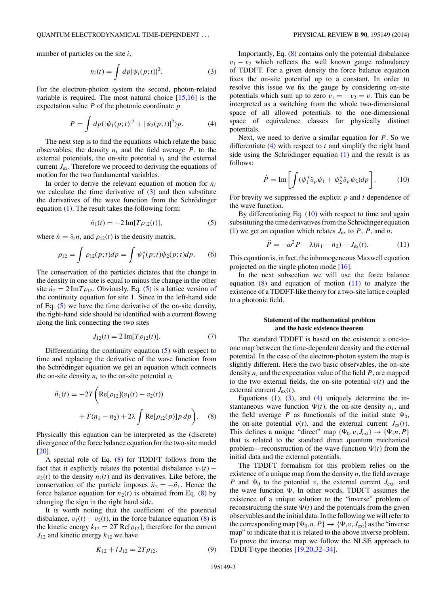<span id="page-2-0"></span>number of particles on the site *i*,

$$
n_i(t) = \int dp |\psi_i(p;t)|^2.
$$
 (3)

For the electron-photon system the second, photon-related variable is required. The most natural choice [\[15,16\]](#page-7-0) is the expectation value *P* of the photonic coordinate *p*

$$
P = \int dp(|\psi_1(p;t)|^2 + |\psi_2(p;t)|^2)p.
$$
 (4)

The next step is to find the equations which relate the basic observables, the density  $n_i$  and the field average  $P$ , to the external potentials, the on-site potential  $v_i$  and the external current *J*ex. Therefore we proceed to deriving the equations of motion for the two fundamental variables.

In order to derive the relevant equation of motion for  $n_i$ we calculate the time derivative of  $(3)$  and then substitute the derivatives of the wave function from the Schrödinger equation [\(1\)](#page-1-0). The result takes the following form:

$$
\dot{n}_1(t) = -2 \operatorname{Im}[T \rho_{12}(t)],\tag{5}
$$

where  $\dot{n} = \partial_t n$ , and  $\rho_{12}(t)$  is the density matrix,

$$
\rho_{12} = \int \rho_{12}(p;t) dp = \int \psi_1^*(p;t) \psi_2(p;t) dp. \tag{6}
$$

The conservation of the particles dictates that the change in the density in one site is equal to minus the change in the other site  $n_2 = 2 \text{Im} T \rho_{12}$ . Obviously, Eq. (5) is a lattice version of the continuity equation for site 1. Since in the left-hand side of Eq. (5) we have the time derivative of the on-site density, the right-hand side should be identified with a current flowing along the link connecting the two sites

$$
J_{12}(t) = 2 \operatorname{Im}[T \rho_{12}(t)]. \tag{7}
$$

Differentiating the continuity equation (5) with respect to time and replacing the derivative of the wave function from the Schrödinger equation we get an equation which connects the on-site density  $n_i$  to the on-site potential  $v_i$ 

$$
\ddot{n}_1(t) = -2T \bigg( \text{Re}[\rho_{12}](v_1(t) - v_2(t)) + T(n_1 - n_2) + 2\lambda \int \text{Re}[\rho_{12}(p)] p \, dp \bigg). \tag{8}
$$

Physically this equation can be interpreted as the (discrete) divergence of the force balance equation for the two-site model [\[20\]](#page-7-0).

A special role of Eq. (8) for TDDFT follows from the fact that it explicitly relates the potential disbalance  $v_1(t)$  –  $v_2(t)$  to the density  $n_i(t)$  and its derivatives. Like before, the conservation of the particle imposes  $\ddot{n}_2 = -\ddot{n}_1$ . Hence the force balance equation for  $n_2(t)$  is obtained from Eq. (8) by changing the sign in the right hand side.

It is worth noting that the coefficient of the potential disbalance,  $v_1(t) - v_2(t)$ , in the force balance equation (8) is the kinetic energy  $k_{12} = 2T \text{Re}[\rho_{12}]$ ; therefore for the current  $J_{12}$  and kinetic energy  $k_{12}$  we have

$$
K_{12} + i J_{12} = 2T \rho_{12}.
$$
 (9)

Importantly, Eq. (8) contains only the potential disbalance  $v_1 - v_2$  which reflects the well known gauge redundancy of TDDFT. For a given density the force balance equation fixes the on-site potential up to a constant. In order to resolve this issue we fix the gauge by considering on-site potentials which sum up to zero  $v_1 = -v_2 = v$ . This can be interpreted as a switching from the whole two-dimensional space of all allowed potentials to the one-dimensional space of equivalence classes for physically distinct potentials.

Next, we need to derive a similar equation for *P*. So we differentiate (4) with respect to *t* and simplify the right hand side using the Schrödinger equation  $(1)$  $(1)$  and the result is as follows:

$$
\dot{P} = \text{Im}\left[\int (\psi_1^* \partial_p \psi_1 + \psi_2^* \partial_p \psi_2) dp\right].
$$
 (10)

For brevity we suppressed the explicit *p* and *t* dependence of the wave function.

By differentiating Eq. (10) with respect to time and again substituting the time derivatives from the Schrödinger equation [\(1\)](#page-1-0) we get an equation which relates  $J_{ex}$  to  $P$ ,  $\ddot{P}$ , and  $n_i$ 

$$
\ddot{P} = -\omega^2 P - \lambda (n_1 - n_2) - J_{\text{ex}}(t). \tag{11}
$$

This equation is, in fact, the inhomogeneous Maxwell equation projected on the single photon mode [\[16\]](#page-7-0).

In the next subsection we will use the force balance equation  $(8)$  and equation of motion  $(11)$  to analyze the existence of a TDDFT-like theory for a two-site lattice coupled to a photonic field.

# **Statement of the mathematical problem and the basic existence theorem**

The standard TDDFT is based on the existence a one-toone map between the time-dependent density and the external potential. In the case of the electron-photon system the map is slightly different. Here the two basic observables, the on-site density  $n_i$  and the expectation value of the field  $P$ , are mapped to the two external fields, the on-site potential  $v(t)$  and the external current  $J_{\rm ex}(t)$ .

Equations  $(1)$ ,  $(3)$ , and  $(4)$  uniquely determine the instantaneous wave function  $\Psi(t)$ , the on-site density  $n_i$ , and the field average *P* as functionals of the initial state  $\Psi_0$ , the on-site potential  $v(t)$ , and the external current  $J_{ex}(t)$ . This defines a unique "direct" map  $\{\Psi_0, v, J_{ext}\} \rightarrow \{\Psi, n, P\}$ that is related to the standard direct quantum mechanical problem—reconstruction of the wave function  $\Psi(t)$  from the initial data and the external potentials.

The TDDFT formalism for this problem relies on the existence of a unique map from the density *n*, the field average *P* and  $\Psi_0$  to the potential *v*, the external current  $J_{ext}$ , and the wave function  $\Psi$ . In other words, TDDFT assumes the existence of a unique solution to the "inverse" problem of reconstructing the state  $\Psi(t)$  and the potentials from the given observables and the initial data. In the following we will refer to the corresponding map  $\{\Psi_0, n, P\} \rightarrow {\{\Psi, v, J_{\text{ext}}\}}$  as the "inverse" map" to indicate that it is related to the above inverse problem. To prove the inverse map we follow the NLSE approach to TDDFT-type theories [\[19,20,32–34\]](#page-7-0).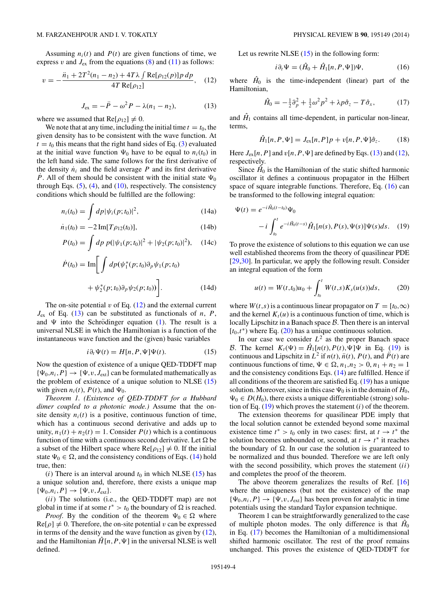<span id="page-3-0"></span>Assuming  $n_i(t)$  and  $P(t)$  are given functions of time, we express  $v$  and  $J_{ex}$  from the equations [\(8\)](#page-2-0) and [\(11\)](#page-2-0) as follows:

$$
v = -\frac{\ddot{n}_1 + 2T^2(n_1 - n_2) + 4T\lambda \int \text{Re}[\rho_{12}(p)] p \, dp}{4T \text{Re}[\rho_{12}]}, \quad (12)
$$

$$
J_{\rm ex} = -\ddot{P} - \omega^2 P - \lambda (n_1 - n_2), \qquad (13)
$$

where we assumed that  $Re[\rho_{12}] \neq 0$ .

We note that at any time, including the initial time  $t = t_0$ , the given density has to be consistent with the wave function. At  $t = t_0$  this means that the right hand sides of Eq. [\(3\)](#page-2-0) evaluated at the initial wave function  $\Psi_0$  have to be equal to  $n_i(t_0)$  in the left hand side. The same follows for the first derivative of the density  $\dot{n}_i$  and the field average  $P$  and its first derivative *P*. All of them should be consistent with the initial state  $\Psi_0$ through Eqs.  $(5)$ ,  $(4)$ , and  $(10)$ , respectively. The consistency conditions which should be fulfilled are the following:

$$
n_i(t_0) = \int dp |\psi_i(p; t_0)|^2,
$$
 (14a)

$$
\dot{n}_1(t_0) = -2 \operatorname{Im}[T \rho_{12}(t_0)],\tag{14b}
$$

$$
P(t_0) = \int dp \ p(|\psi_1(p; t_0)|^2 + |\psi_2(p; t_0)|^2), \quad (14c)
$$

$$
\dot{P}(t_0) = \text{Im}\bigg[\int dp(\psi_1^*(p;t_0)\partial_p\psi_1(p;t_0) + \psi_2^*(p;t_0)\partial_p\psi_2(p;t_0))\bigg].
$$
\n(14d)

The on-site potential  $v$  of Eq.  $(12)$  and the external current  $J_{\rm ex}$  of Eq. (13) can be substituted as functionals of *n*, *P*, and  $\Psi$  into the Schrödinger equation ([1\)](#page-1-0). The result is a universal NLSE in which the Hamiltonian is a function of the instantaneous wave function and the (given) basic variables

$$
i\partial_t \Psi(t) = H[n, P, \Psi]\Psi(t). \tag{15}
$$

Now the question of existence of a unique QED-TDDFT map  $\{\Psi_0, n_i, P\} \rightarrow \{\Psi, v, J_{ext}\}$  can be formulated mathematically as the problem of existence of a unique solution to NLSE (15) with given  $n_i(t)$ ,  $P(t)$ , and  $\Psi_0$ .

*Theorem 1. (Existence of QED-TDDFT for a Hubbard dimer coupled to a photonic mode.)* Assume that the onsite density  $n_i(t)$  is a positive, continuous function of time, which has a continuous second derivative and adds up to unity,  $n_1(t) + n_2(t) = 1$ . Consider  $P(t)$  which is a continuous function of time with a continuous second derivative. Let  $\Omega$  be a subset of the Hilbert space where  $Re[\rho_{12}] \neq 0$ . If the initial state  $\Psi_0 \in \Omega$ , and the consistency conditions of Eqs. (14) hold true, then:

 $(i)$  There is an interval around  $t_0$  in which NLSE (15) has a unique solution and, therefore, there exists a unique map  $\{\Psi_0, n_i, P\} \to \{\Psi, v, J_{ext}\}.$ 

(*ii*) The solutions (i.e., the QED-TDDFT map) are not global in time if at some  $t^* > t_0$  the boundary of  $\Omega$  is reached.

*Proof.* By the condition of the theorem  $\Psi_0 \in \Omega$  where  $\text{Re}[\rho] \neq 0$ . Therefore, the on-site potential *v* can be expressed in terms of the density and the wave function as given by  $(12)$ , and the Hamiltonian  $\hat{H}[n, P, \Psi]$  in the universal NLSE is well defined.

Let us rewrite NLSE  $(15)$  in the following form:

$$
i\partial_t \Psi = (\hat{H}_0 + \hat{H}_1[n, P, \Psi])\Psi, \tag{16}
$$

where  $\hat{H}_0$  is the time-independent (linear) part of the Hamiltonian,

$$
\hat{H}_0 = -\frac{1}{2}\partial_p^2 + \frac{1}{2}\omega^2 p^2 + \lambda p \hat{\sigma}_z - T \hat{\sigma}_x,\tag{17}
$$

and  $\hat{H}_1$  contains all time-dependent, in particular non-linear, terms,

$$
\hat{H}_1[n, P, \Psi] = J_{\text{ex}}[n, P]p + v[n, P, \Psi]\hat{\sigma}_z.
$$
 (18)

Here  $J_{ex}[n, P]$  and  $v[n, P, \Psi]$  are defined by Eqs. (13) and (12), respectively.

Since  $\hat{H}_0$  is the Hamiltonian of the static shifted harmonic oscillator it defines a continuous propagator in the Hilbert space of square integrable functions. Therefore, Eq. (16) can be transformed to the following integral equation:

$$
\Psi(t) = e^{-i\hat{H}_0(t-t_0)}\Psi_0
$$
  
-i $\int_{t_0}^t e^{-i\hat{H}_0(t-s)}\hat{H}_1[n(s),P(s),\Psi(s)]\Psi(s)ds.$  (19)

To prove the existence of solutions to this equation we can use well established theorems from the theory of quasilinear PDE [\[29,30\]](#page-7-0). In particular, we apply the following result. Consider an integral equation of the form

$$
u(t) = W(t,t_0)u_0 + \int_{t_0}^t W(t,s)K_s(u(s))ds,
$$
 (20)

where *W*(*t*,*s*) is a continuous linear propagator on *T* = [ $t_0$ , $\infty$ ) and the kernel  $K_t(u)$  is a continuous function of time, which is locally Lipschitz in a Banach space  $\beta$ . Then there is an interval  $[t_0, t^*)$  where Eq. (20) has a unique continuous solution.

In our case we consider  $L^2$  as the proper Banach space B. The kernel  $K_t(\Psi) = \hat{H}_1[n(t), P(t), \Psi]\Psi$  in Eq. (19) is continuous and Lipschitz in  $L^2$  if  $n(t)$ ,  $\ddot{n}(t)$ ,  $P(t)$ , and  $\ddot{P}(t)$  are continuous functions of time,  $\Psi \in \Omega$ ,  $n_1, n_2 > 0$ ,  $n_1 + n_2 = 1$ and the consistency conditions Eqs. (14) are fulfilled. Hence if all conditions of the theorem are satisfied Eq.  $(19)$  has a unique solution. Moreover, since in this case  $\Psi_0$  is in the domain of  $H_0$ ,  $\Psi_0 \in D(H_0)$ , there exists a unique differentiable (strong) solution of Eq. (19) which proves the statement (*i*) of the theorem.

The extension theorems for quasilinear PDE imply that the local solution cannot be extended beyond some maximal existence time  $t^* > t_0$  only in two cases: first, at  $t \to t^*$  the solution becomes unbounded or, second, at  $t \to t^*$  it reaches the boundary of  $\Omega$ . In our case the solution is guaranteed to be normalized and thus bounded. Therefore we are left only with the second possibility, which proves the statement (*ii*) and completes the proof of the theorem.

The above theorem generalizes the results of Ref. [\[16\]](#page-7-0) where the uniqueness (but not the existence) of the map  $\{\Psi_0, n_i, P\} \rightarrow \{\Psi, v, J_{ext}\}\$  has been proven for analytic in time potentials using the standard Taylor expansion technique.

Theorem 1 can be straightforwardly generalized to the case of multiple photon modes. The only difference is that  $\hat{H}_0$ in Eq. (17) becomes the Hamiltonian of a multidimensional shifted harmonic oscillator. The rest of the proof remains unchanged. This proves the existence of QED-TDDFT for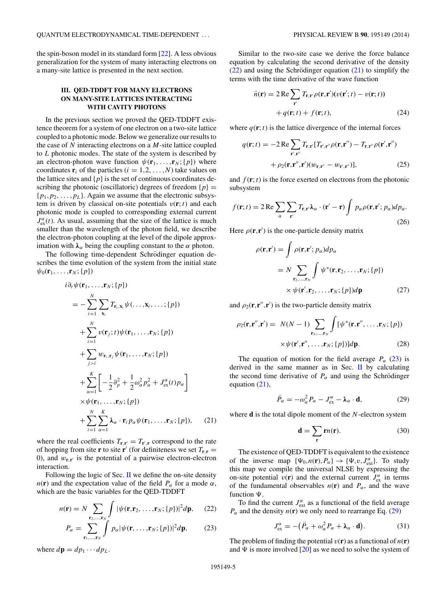<span id="page-4-0"></span>the spin-boson model in its standard form [\[22\]](#page-7-0). A less obvious generalization for the system of many interacting electrons on a many-site lattice is presented in the next section.

# **III. QED-TDDFT FOR MANY ELECTRONS ON MANY-SITE LATTICES INTERACTING WITH CAVITY PHOTONS**

In the previous section we proved the QED-TDDFT existence theorem for a system of one electron on a two-site lattice coupled to a photonic mode. Below we generalize our results to the case of *N* interacting electrons on a *M*-site lattice coupled to *L* photonic modes. The state of the system is described by an electron-photon wave function  $\psi(\mathbf{r}_1, \ldots, \mathbf{r}_N; \{p\})$  where coordinates  $\mathbf{r}_i$  of the particles ( $i = 1, 2, \ldots, N$ ) take values on the lattice sites and  $\{p\}$  is the set of continuous coordinates describing the photonic (oscillatoric) degrees of freedom  $\{p\}$  =  ${p_1, p_2, \ldots, p_L}$ . Again we assume that the electronic subsystem is driven by classical on-site potentials  $v(\mathbf{r}; t)$  and each photonic mode is coupled to corresponding external current  $J_{\text{ex}}^{\alpha}(t)$ . As usual, assuming that the size of the lattice is much smaller than the wavelength of the photon field, we describe the electron-photon coupling at the level of the dipole approximation with  $λ_α$  being the coupling constant to the *α* photon.

The following time-dependent Schrödinger equation describes the time evolution of the system from the initial state  $\psi_0(\mathbf{r}_1,\ldots,\mathbf{r}_N;\{p\})$ 

$$
i\partial_t \psi(\mathbf{r}_1, \dots, \mathbf{r}_N; \{p\})
$$
  
=  $-\sum_{i=1}^N \sum_{\mathbf{x}_i} T_{\mathbf{r}_i, \mathbf{x}_i} \psi(\dots, \mathbf{x}_i, \dots; \{p\})$   
+  $\sum_{i=1}^N v(\mathbf{r}_j; t) \psi(\mathbf{r}_1, \dots, \mathbf{r}_N; \{p\})$   
+  $\sum_{j>i} w_{\mathbf{r}_i, \mathbf{r}_j} \psi(\mathbf{r}_1, \dots, \mathbf{r}_N; \{p\})$   
+  $\sum_{\alpha=1}^K \left[ -\frac{1}{2} \partial_p^2 + \frac{1}{2} \omega_\alpha^2 p_\alpha^2 + J_{\text{ex}}^\alpha(t) p_\alpha \right]$   
  $\times \psi(\mathbf{r}_1, \dots, \mathbf{r}_N; \{p\})$   
+  $\sum_{i=1}^N \sum_{\alpha=1}^K \lambda_\alpha \cdot \mathbf{r}_i p_\alpha \psi(\mathbf{r}_1, \dots, \mathbf{r}_N; \{p\}),$  (21)

where the real coefficients  $T_{\mathbf{r},\mathbf{r}'} = T_{\mathbf{r}',\mathbf{r}}$  correspond to the rate of hopping from site **r** to site **r**<sup> $\prime$ </sup> (for definiteness we set  $T_{\mathbf{r},\mathbf{r}} =$ 0), and  $w_{\mathbf{r}, \mathbf{r}'}$  is the potential of a pairwise electron-electron interaction.

Following the logic of Sec. [II](#page-1-0) we define the on-site density *n*(**r**) and the expectation value of the field  $P_\alpha$  for a mode  $\alpha$ , which are the basic variables for the QED-TDDFT

$$
n(\mathbf{r}) = N \sum_{\mathbf{r}_2,\dots,\mathbf{r}_N} \int |\psi(\mathbf{r}, \mathbf{r}_2, \dots, \mathbf{r}_N; \{p\})|^2 d\mathbf{p}, \qquad (22)
$$

$$
P_{\alpha} = \sum_{\mathbf{r}_1, \dots, \mathbf{r}_N} \int p_{\alpha} |\psi(\mathbf{r}, \dots, \mathbf{r}_N; \{p\})|^2 d\mathbf{p}, \tag{23}
$$

where  $d\mathbf{p} = dp_1 \cdots dp_L$ .

Similar to the two-site case we derive the force balance equation by calculating the second derivative of the density  $(22)$  and using the Schrödinger equation  $(21)$  to simplify the terms with the time derivative of the wave function

$$
\ddot{n}(\mathbf{r}) = 2 \operatorname{Re} \sum_{\mathbf{r}'} T_{\mathbf{r}, \mathbf{r}'} \rho(\mathbf{r}, \mathbf{r}') (v(\mathbf{r}'; t) - v(\mathbf{r}; t))
$$

$$
+ q(\mathbf{r}; t) + f(\mathbf{r}; t), \tag{24}
$$

where  $q(\mathbf{r}; t)$  is the lattice divergence of the internal forces

$$
q(\mathbf{r};t) = -2 \operatorname{Re} \sum_{\mathbf{r}',\mathbf{r}''} T_{\mathbf{r},\mathbf{r}'} [T_{\mathbf{r}',\mathbf{r}''} \rho(\mathbf{r},\mathbf{r}'') - T_{\mathbf{r},\mathbf{r}''} \rho(\mathbf{r}',\mathbf{r}'') + \rho_2(\mathbf{r},\mathbf{r}'',\mathbf{r}') (w_{\mathbf{r},\mathbf{r}''} - w_{\mathbf{r}',\mathbf{r}''})],
$$
(25)

and  $f(\mathbf{r}; t)$  is the force exerted on electrons from the photonic subsystem

$$
f(\mathbf{r};t) = 2 \operatorname{Re} \sum_{\alpha} \sum_{\mathbf{r}'} T_{\mathbf{r},\mathbf{r}'} \lambda_{\alpha} \cdot (\mathbf{r}' - \mathbf{r}) \int p_{\alpha} \rho(\mathbf{r},\mathbf{r}';p_{\alpha}) dp_{\alpha}.
$$
 (26)

Here  $\rho(\mathbf{r}, \mathbf{r}')$  is the one-particle density matrix

$$
\rho(\mathbf{r}, \mathbf{r}') = \int \rho(\mathbf{r}, \mathbf{r}'; p_{\alpha}) dp_{\alpha}
$$
  
=  $N \sum_{\mathbf{r}_2, ..., \mathbf{r}_N} \int \psi^*(\mathbf{r}, \mathbf{r}_2, ..., \mathbf{r}_N; \{p\})$   
 $\times \psi(\mathbf{r}', \mathbf{r}_2, ..., \mathbf{r}_N; \{p\}) d\mathbf{p}$  (27)

and  $\rho_2(\mathbf{r}, \mathbf{r}'', \mathbf{r}')$  is the two-particle density matrix

$$
\rho_2(\mathbf{r}, \mathbf{r}'', \mathbf{r}') = N(N-1) \sum_{\mathbf{r}_3, \dots, \mathbf{r}_N} \int [\psi^*(\mathbf{r}, \mathbf{r}'', \dots, \mathbf{r}_N; \{p\})
$$

$$
\times \psi(\mathbf{r}', \mathbf{r}'', \dots, \mathbf{r}_N; \{p\})] d\mathbf{p}.
$$
 (28)

The equation of motion for the field average  $P_\alpha$  (23) is derived in the same manner as in Sec.  $\mathbf{I}$  by calculating the second time derivative of  $P_\alpha$  and using the Schrödinger equation (21),

$$
\ddot{P}_{\alpha} = -\omega_{\alpha}^2 P_{\alpha} - J_{\text{ex}}^{\alpha} - \lambda_{\alpha} \cdot \mathbf{d}, \qquad (29)
$$

where **d** is the total dipole moment of the *N*-electron system

$$
\mathbf{d} = \sum_{\mathbf{r}} \mathbf{r} n(\mathbf{r}).\tag{30}
$$

The existence of QED-TDDFT is equivalent to the existence of the inverse map  $\{\Psi_0, n(\mathbf{r}), P_\alpha\} \to \{\Psi, v, J^{\alpha}_{ext}\}.$  To study this map we compile the universal NLSE by expressing the on-site potential  $v(\mathbf{r})$  and the external current  $J_{\text{ex}}^{\alpha}$  in terms of the fundamental observables  $n(\mathbf{r})$  and  $P_\alpha$ , and the wave function  $\Psi$ .

To find the current  $J_{\text{ext}}^{\alpha}$  as a functional of the field average  $P_\alpha$  and the density  $n(\mathbf{r})$  we only need to rearrange Eq. (29)

$$
J_{\text{ex}}^{\alpha} = -(\ddot{P}_{\alpha} + \omega_{\alpha}^{2} P_{\alpha} + \lambda_{\alpha} \cdot \mathbf{d}). \tag{31}
$$

The problem of finding the potential  $v(\mathbf{r})$  as a functional of  $n(\mathbf{r})$ and  $\Psi$  is more involved [\[20\]](#page-7-0) as we need to solve the system of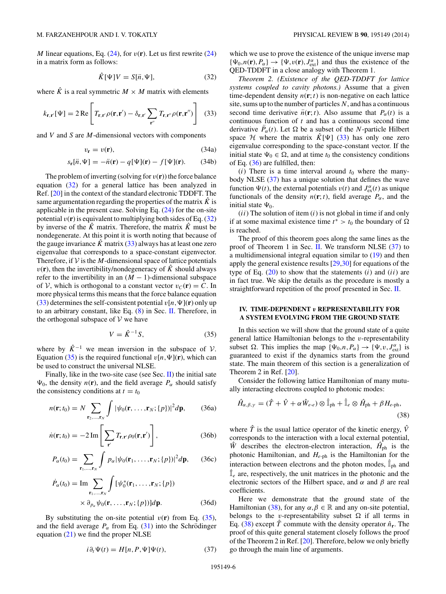<span id="page-5-0"></span>*M* linear equations, Eq.  $(24)$ , for  $v(\mathbf{r})$ . Let us first rewrite  $(24)$ in a matrix form as follows:

$$
\hat{K}[\Psi]V = S[\ddot{n}, \Psi],\tag{32}
$$

where  $\hat{K}$  is a real symmetric  $M \times M$  matrix with elements

$$
k_{\mathbf{r},\mathbf{r}'}[\Psi] = 2 \operatorname{Re} \left[ T_{\mathbf{r},\mathbf{r}'} \rho(\mathbf{r},\mathbf{r}') - \delta_{\mathbf{r},\mathbf{r}'} \sum_{\mathbf{r}''} T_{\mathbf{r},\mathbf{r}''} \rho(\mathbf{r},\mathbf{r}'') \right] \tag{33}
$$

and *V* and *S* are *M*-dimensional vectors with components

$$
v_{\mathbf{r}} = v(\mathbf{r}),\tag{34a}
$$

$$
s_{\mathbf{r}}[\ddot{n}, \Psi] = -\ddot{n}(\mathbf{r}) - q[\Psi](\mathbf{r}) - f[\Psi](\mathbf{r}). \tag{34b}
$$

The problem of inverting (solving for  $v(\mathbf{r})$ ) the force balance equation (32) for a general lattice has been analyzed in Ref. [\[20\]](#page-7-0) in the context of the standard electronic TDDFT. The same argumentation regarding the properties of the matrix  $\hat{K}$  is applicable in the present case. Solving Eq.  $(24)$  for the on-site potential  $v(\mathbf{r})$  is equivalent to multiplying both sides of Eq. (32) by inverse of the  $\hat{K}$  matrix. Therefore, the matrix  $\hat{K}$  must be nondegenerate. At this point it is worth noting that because of the gauge invariance  $\hat{K}$  matrix (33) always has at least one zero eigenvalue that corresponds to a space-constant eigenvector. Therefore, if  $V$  is the *M*-dimensional space of lattice potentials  $v(\mathbf{r})$ , then the invertibility/nondegeneracy of  $\hat{K}$  should always refer to the invertibility in an  $(M - 1)$ -dimensional subspace of V, which is orthogonal to a constant vector  $v_C(\mathbf{r}) = C$ . In more physical terms this means that the force balance equation (33) determines the self-consistent potential  $v[n,\Psi](\mathbf{r})$  only up to an arbitrary constant, like Eq. [\(8\)](#page-2-0) in Sec. [II.](#page-1-0) Therefore, in the orthogonal subspace of  $V$  we have

$$
V = \hat{K}^{-1}S,\tag{35}
$$

where by  $\hat{K}^{-1}$  we mean inversion in the subspace of V. Equation (35) is the required functional  $v[n,\Psi](\mathbf{r})$ , which can be used to construct the universal NLSE.

Finally, like in the two-site case (see Sec. [II\)](#page-1-0) the initial sate  $\Psi_0$ , the density  $n(\mathbf{r})$ , and the field average  $P_\alpha$  should satisfy the consistency conditions at  $t = t_0$ 

$$
n(\mathbf{r};t_0) = N \sum_{\mathbf{r}_2,\dots,\mathbf{r}_N} \int |\psi_0(\mathbf{r},\dots,\mathbf{r}_N;\{p\})|^2 d\mathbf{p},\qquad(36a)
$$

$$
\dot{n}(\mathbf{r};t_0) = -2 \operatorname{Im} \left[ \sum_{\mathbf{r}'} T_{\mathbf{r},\mathbf{r}'} \rho_0(\mathbf{r},\mathbf{r}') \right],\tag{36b}
$$

$$
P_{\alpha}(t_0) = \sum_{\mathbf{r}_1,\dots,\mathbf{r}_N} \int p_{\alpha} |\psi_0(\mathbf{r}_1,\dots,\mathbf{r}_N; \{p\})|^2 d\mathbf{p}, \qquad (36c)
$$

$$
\dot{P}_{\alpha}(t_0) = \text{Im} \sum_{\mathbf{r}_1, \dots, \mathbf{r}_N} \int [\psi_0^*(\mathbf{r}_1, \dots, \mathbf{r}_N; \{p\})
$$

$$
\times \partial_{p_{\alpha}} \psi_0(\mathbf{r}, \dots, \mathbf{r}_N; \{p\})] d\mathbf{p}.
$$
 (36d)

By substituting the on-site potential  $v(\mathbf{r})$  from Eq. (35), and the field average  $P_\alpha$  from Eq. [\(31\)](#page-4-0) into the Schrödinger equation  $(21)$  we find the proper NLSE

$$
i\partial_t \Psi(t) = H[n, P, \Psi]\Psi(t),\tag{37}
$$

which we use to prove the existence of the unique inverse map  $\{\Psi_0, n(\mathbf{r}), P_\alpha\} \to \{\Psi, v(\mathbf{r}), J_{ext}^\alpha\}$  and thus the existence of the QED-TDDFT in a close analogy with Theorem 1.

*Theorem 2. (Existence of the QED-TDDFT for lattice systems coupled to cavity photons.)* Assume that a given time-dependent density  $n(\mathbf{r}; t)$  is non-negative on each lattice site, sums up to the number of particles *N*, and has a continuous second time derivative  $\ddot{n}(\mathbf{r}; t)$ . Also assume that  $P_\alpha(t)$  is a continuous function of *t* and has a continuous second time derivative  $\ddot{P}_{\alpha}(t)$ . Let  $\Omega$  be a subset of the *N*-particle Hilbert space  $H$  where the matrix  $\hat{K}[\Psi]$  (33) has only one zero eigenvalue corresponding to the space-constant vector. If the initial state  $\Psi_0 \in \Omega$ , and at time  $t_0$  the consistency conditions of Eq. (36) are fulfilled, then:

 $(i)$  There is a time interval around  $t_0$  where the manybody NLSE (37) has a unique solution that defines the wave function  $\Psi(t)$ , the external potentials  $v(t)$  and  $J_{ex}^{\alpha}(t)$  as unique functionals of the density  $n(\mathbf{r}; t)$ , field average  $P_\alpha$ , and the initial state  $\Psi_0$ .

(*ii*) The solution of item (*i*) is not global in time if and only if at some maximal existence time  $t^* > t_0$  the boundary of  $\Omega$ is reached.

The proof of this theorem goes along the same lines as the proof of Theorem 1 in Sec. [II.](#page-1-0) We transform NLSE (37) to a multidimensional integral equation similar to [\(19\)](#page-3-0) and then apply the general existence results [\[29,30\]](#page-7-0) for equations of the type of Eq.  $(20)$  to show that the statements  $(i)$  and  $(ii)$  are in fact true. We skip the details as the procedure is mostly a straightforward repetition of the proof presented in Sec. [II.](#page-1-0)

#### **IV. TIME-DEPENDENT** *v* **REPRESENTABILITY FOR A SYSTEM EVOLVING FROM THE GROUND STATE**

In this section we will show that the ground state of a quite general lattice Hamiltonian belongs to the *v*-representability subset  $\Omega$ . This implies the map  $\{\Psi_0, n, P_\alpha\} \to \{\Psi, v, J_{ext}^\alpha\}$  is guaranteed to exist if the dynamics starts from the ground state. The main theorem of this section is a generalization of Theorem 2 in Ref. [\[20\]](#page-7-0).

Consider the following lattice Hamiltonian of many mutually interacting electrons coupled to photonic modes:

$$
\hat{H}_{\alpha,\beta,\gamma} = (\hat{T} + \hat{V} + \alpha \hat{W}_{e-e}) \otimes \hat{\mathbb{I}}_{\text{ph}} + \hat{\mathbb{I}}_e \otimes \hat{H}_{\text{ph}} + \beta H_{e-\text{ph}},
$$
\n(38)

where  $\hat{T}$  is the usual lattice operator of the kinetic energy,  $\hat{V}$ corresponds to the interaction with a local external potential, *W* describes the electron-electron interaction,  $\hat{H}_{\text{ph}}$  is the photonic Hamiltonian, and *He*-ph is the Hamiltonian for the interaction between electrons and the photon modes,  $\hat{I}_{ph}$  and ˆ I*<sup>e</sup>* are, respectively, the unit matrices in the photonic and the electronic sectors of the Hilbert space, and *α* and *β* are real coefficients.

Here we demonstrate that the ground state of the Hamiltonian (38), for any  $\alpha, \beta \in \mathbb{R}$  and any on-site potential, belongs to the *v*-representability subset  $\Omega$  if all terms in Eq. (38) except  $\hat{T}$  commute with the density operator  $\hat{n}_r$ . The proof of this quite general statement closely follows the proof of the Theorem 2 in Ref. [\[20\]](#page-7-0). Therefore, below we only briefly go through the main line of arguments.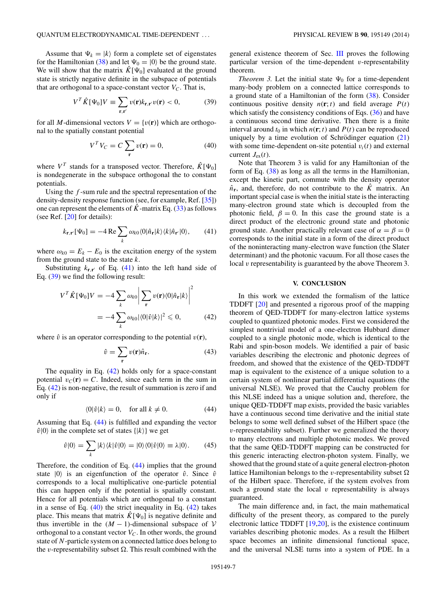Assume that  $\Psi_k = |k\rangle$  form a complete set of eigenstates for the Hamiltonian [\(38\)](#page-5-0) and let  $\Psi_0 = |0\rangle$  be the ground state. We will show that the matrix  $\hat{K}[\Psi_0]$  evaluated at the ground state is strictly negative definite in the subspace of potentials that are orthogonal to a space-constant vector  $V_C$ . That is,

$$
V^T \hat{K}[\Psi_0] V \equiv \sum_{\mathbf{r}, \mathbf{r}'} v(\mathbf{r}) k_{\mathbf{r}, \mathbf{r}'} v(\mathbf{r}) < 0,\tag{39}
$$

for all *M*-dimensional vectors  $V = \{v(\mathbf{r})\}$  which are orthogonal to the spatially constant potential

$$
V^T V_C = C \sum_{\mathbf{r}} v(\mathbf{r}) = 0,
$$
 (40)

where  $V^T$  stands for a transposed vector. Therefore,  $\hat{K}[\Psi_0]$ is nondegenerate in the subspace orthogonal the to constant potentials.

Using the *f* -sum rule and the spectral representation of the density-density response function (see, for example, Ref. [\[35\]](#page-7-0)) one can represent the elements of  $\hat{K}$ -matrix Eq. [\(33\)](#page-5-0) as follows (see Ref. [\[20\]](#page-7-0) for details):

$$
k_{\mathbf{r},\mathbf{r}'}[\Psi_0] = -4 \operatorname{Re} \sum_{k} \omega_{k0} \langle 0 | \hat{n}_{\mathbf{r}} | k \rangle \langle k | \hat{n}_{\mathbf{r}'} | 0 \rangle, \tag{41}
$$

where  $\omega_{k0} = E_k - E_0$  is the excitation energy of the system from the ground state to the state *k*.

Substituting  $k_{\mathbf{r},\mathbf{r}'}$  of Eq. (41) into the left hand side of Eq. (39) we find the following result:

$$
V^T \hat{K}[\Psi_0] V = -4 \sum_k \omega_{k0} \left| \sum_{\mathbf{r}} v(\mathbf{r}) \langle 0 | \hat{n}_{\mathbf{r}} | k \rangle \right|^2
$$
  
= -4  $\sum_k \omega_{k0} |\langle 0 | \hat{v} | k \rangle|^2 \le 0$ , (42)

where  $\hat{v}$  is an operator corresponding to the potential  $v(\mathbf{r})$ ,

$$
\hat{v} = \sum_{\mathbf{r}} v(\mathbf{r}) \hat{n}_{\mathbf{r}}.\tag{43}
$$

The equality in Eq.  $(42)$  holds only for a space-constant potential  $v_C(\mathbf{r}) = C$ . Indeed, since each term in the sum in Eq. (42) is non-negative, the result of summation is zero if and only if

$$
\langle 0|\hat{v}|k\rangle = 0, \quad \text{for all } k \neq 0. \tag{44}
$$

Assuming that Eq. (44) is fulfilled and expanding the vector  $\hat{v}|0\rangle$  in the complete set of states  $\{|k\rangle\}$  we get

$$
\hat{v}|0\rangle = \sum_{k} |k\rangle\langle k|\hat{v}|0\rangle = |0\rangle\langle 0|\hat{v}|0\rangle \equiv \lambda|0\rangle. \tag{45}
$$

Therefore, the condition of Eq. (44) implies that the ground state  $|0\rangle$  is an eigenfunction of the operator  $\hat{v}$ . Since  $\hat{v}$ corresponds to a local multiplicative one-particle potential this can happen only if the potential is spatially constant. Hence for all potentials which are orthogonal to a constant in a sense of Eq.  $(40)$  the strict inequality in Eq.  $(42)$  takes place. This means that matrix  $K[\Psi_0]$  is negative definite and thus invertible in the  $(M - 1)$ -dimensional subspace of V orthogonal to a constant vector  $V_C$ . In other words, the ground state of *N*-particle system on a connected lattice does belong to the *v*-representability subset . This result combined with the

general existence theorem of Sec. [III](#page-4-0) proves the following particular version of the time-dependent *v*-representability theorem.

*Theorem 3.* Let the initial state  $\Psi_0$  for a time-dependent many-body problem on a connected lattice corresponds to a ground state of a Hamiltonian of the form [\(38\)](#page-5-0). Consider continuous positive density  $n(\mathbf{r}; t)$  and field average  $P(t)$ which satisfy the consistency conditions of Eqs.  $(36)$  and have a continuous second time derivative. Then there is a finite interval around  $t_0$  in which  $n(\mathbf{r}; t)$  and  $P(t)$  can be reproduced uniquely by a time evolution of Schrödinger equation  $(21)$  $(21)$ with some time-dependent on-site potential  $v_i(t)$  and external current  $J_{\rm ex}(t)$ .

Note that Theorem 3 is valid for any Hamiltonian of the form of Eq. [\(38\)](#page-5-0) as long as all the terms in the Hamiltonian, except the kinetic part, commute with the density operator  $\hat{n}_r$ , and, therefore, do not contribute to the  $\hat{K}$  matrix. An important special case is when the initial state is the interacting many-electron ground state which is decoupled from the photonic field,  $\beta = 0$ . In this case the ground state is a direct product of the electronic ground state and photonic ground state. Another practically relevant case of  $\alpha = \beta = 0$ corresponds to the initial state in a form of the direct product of the noninteracting many-electron wave function (the Slater determinant) and the photonic vacuum. For all those cases the local *v* representability is guaranteed by the above Theorem 3.

#### **V. CONCLUSION**

In this work we extended the formalism of the lattice TDDFT [\[20\]](#page-7-0) and presented a rigorous proof of the mapping theorem of QED-TDDFT for many-electron lattice systems coupled to quantized photonic modes. First we considered the simplest nontrivial model of a one-electron Hubbard dimer coupled to a single photonic mode, which is identical to the Rabi and spin-boson models. We identified a pair of basic variables describing the electronic and photonic degrees of freedom, and showed that the existence of the QED-TDDFT map is equivalent to the existence of a unique solution to a certain system of nonlinear partial differential equations (the universal NLSE). We proved that the Cauchy problem for this NLSE indeed has a unique solution and, therefore, the unique QED-TDDFT map exists, provided the basic variables have a continuous second time derivative and the initial state belongs to some well defined subset of the Hilbert space (the *v*-representability subset). Further we generalized the theory to many electrons and multiple photonic modes. We proved that the same QED-TDDFT mapping can be constructed for this generic interacting electron-photon system. Finally, we showed that the ground state of a quite general electron-photon lattice Hamiltonian belongs to the *v*-representability subset  of the Hilbert space. Therefore, if the system evolves from such a ground state the local *v* representability is always guaranteed.

The main difference and, in fact, the main mathematical difficulty of the present theory, as compared to the purely electronic lattice TDDFT [\[19,20\]](#page-7-0), is the existence continuum variables describing photonic modes. As a result the Hilbert space becomes an infinite dimensional functional space, and the universal NLSE turns into a system of PDE. In a